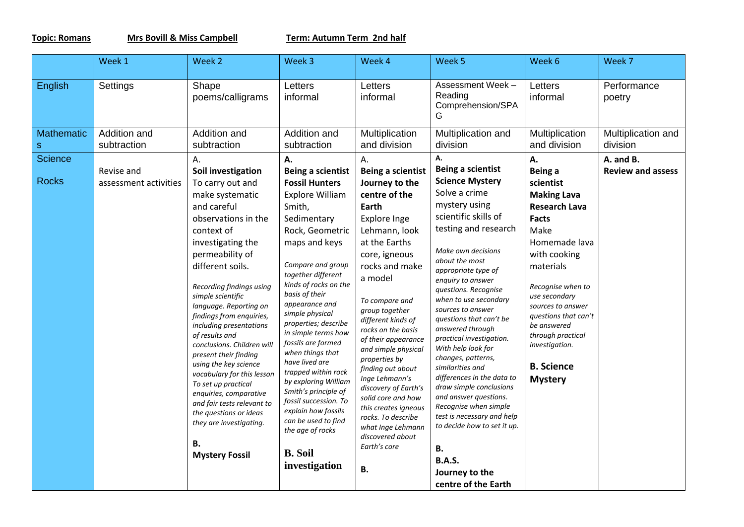**Topic: Romans Mrs Bovill & Miss Campbell Term: Autumn Term 2nd half**

|                                | Week 1                              | Week 2                                                                                                                                                                                                                                                                                                                                                                                                                                                                                                                                                                                | Week 3                                                                                                                                                                                                                                                                                                                                                                                                                                                                                                                             | Week 4                                                                                                                                                                                                                                                                                                                                                                                                                                                                            | Week 5                                                                                                                                                                                                                                                                                                                                                                                                                                                                                                                                                                                                           | Week 6                                                                                                                                                                                                                                                                                                                         | Week 7                                |
|--------------------------------|-------------------------------------|---------------------------------------------------------------------------------------------------------------------------------------------------------------------------------------------------------------------------------------------------------------------------------------------------------------------------------------------------------------------------------------------------------------------------------------------------------------------------------------------------------------------------------------------------------------------------------------|------------------------------------------------------------------------------------------------------------------------------------------------------------------------------------------------------------------------------------------------------------------------------------------------------------------------------------------------------------------------------------------------------------------------------------------------------------------------------------------------------------------------------------|-----------------------------------------------------------------------------------------------------------------------------------------------------------------------------------------------------------------------------------------------------------------------------------------------------------------------------------------------------------------------------------------------------------------------------------------------------------------------------------|------------------------------------------------------------------------------------------------------------------------------------------------------------------------------------------------------------------------------------------------------------------------------------------------------------------------------------------------------------------------------------------------------------------------------------------------------------------------------------------------------------------------------------------------------------------------------------------------------------------|--------------------------------------------------------------------------------------------------------------------------------------------------------------------------------------------------------------------------------------------------------------------------------------------------------------------------------|---------------------------------------|
| English                        | Settings                            | Shape<br>poems/calligrams                                                                                                                                                                                                                                                                                                                                                                                                                                                                                                                                                             | Letters<br>informal                                                                                                                                                                                                                                                                                                                                                                                                                                                                                                                | Letters<br>informal                                                                                                                                                                                                                                                                                                                                                                                                                                                               | Assessment Week-<br>Reading<br>Comprehension/SPA<br>G                                                                                                                                                                                                                                                                                                                                                                                                                                                                                                                                                            | Letters<br>informal                                                                                                                                                                                                                                                                                                            | Performance<br>poetry                 |
| <b>Mathematic</b><br>${\sf S}$ | Addition and<br>subtraction         | Addition and<br>subtraction                                                                                                                                                                                                                                                                                                                                                                                                                                                                                                                                                           | Addition and<br>subtraction                                                                                                                                                                                                                                                                                                                                                                                                                                                                                                        | Multiplication<br>and division                                                                                                                                                                                                                                                                                                                                                                                                                                                    | Multiplication and<br>division                                                                                                                                                                                                                                                                                                                                                                                                                                                                                                                                                                                   | Multiplication<br>and division                                                                                                                                                                                                                                                                                                 | Multiplication and<br>division        |
| Science<br><b>Rocks</b>        | Revise and<br>assessment activities | А.<br>Soil investigation<br>To carry out and<br>make systematic<br>and careful<br>observations in the<br>context of<br>investigating the<br>permeability of<br>different soils.<br>Recording findings using<br>simple scientific<br>language. Reporting on<br>findings from enquiries,<br>including presentations<br>of results and<br>conclusions. Children will<br>present their finding<br>using the key science<br>vocabulary for this lesson<br>To set up practical<br>enquiries, comparative<br>and fair tests relevant to<br>the questions or ideas<br>they are investigating. | А.<br><b>Being a scientist</b><br><b>Fossil Hunters</b><br><b>Explore William</b><br>Smith,<br>Sedimentary<br>Rock, Geometric<br>maps and keys<br>Compare and group<br>together different<br>kinds of rocks on the<br>basis of their<br>appearance and<br>simple physical<br>properties; describe<br>in simple terms how<br>fossils are formed<br>when things that<br>have lived are<br>trapped within rock<br>by exploring William<br>Smith's principle of<br>fossil succession. To<br>explain how fossils<br>can be used to find | Α.<br><b>Being a scientist</b><br>Journey to the<br>centre of the<br>Earth<br>Explore Inge<br>Lehmann, look<br>at the Earths<br>core, igneous<br>rocks and make<br>a model<br>To compare and<br>group together<br>different kinds of<br>rocks on the basis<br>of their appearance<br>and simple physical<br>properties by<br>finding out about<br>Inge Lehmann's<br>discovery of Earth's<br>solid core and how<br>this creates igneous<br>rocks. To describe<br>what Inge Lehmann | Α.<br>Being a scientist<br><b>Science Mystery</b><br>Solve a crime<br>mystery using<br>scientific skills of<br>testing and research<br>Make own decisions<br>about the most<br>appropriate type of<br>enquiry to answer<br>questions. Recognise<br>when to use secondary<br>sources to answer<br>questions that can't be<br>answered through<br>practical investigation.<br>With help look for<br>changes, patterns,<br>similarities and<br>differences in the data to<br>draw simple conclusions<br>and answer questions.<br>Recognise when simple<br>test is necessary and help<br>to decide how to set it up. | А.<br>Being a<br>scientist<br><b>Making Lava</b><br><b>Research Lava</b><br><b>Facts</b><br>Make<br>Homemade lava<br>with cooking<br>materials<br>Recognise when to<br>use secondary<br>sources to answer<br>questions that can't<br>be answered<br>through practical<br>investigation.<br><b>B.</b> Science<br><b>Mystery</b> | A. and B.<br><b>Review and assess</b> |
|                                |                                     | В.<br><b>Mystery Fossil</b>                                                                                                                                                                                                                                                                                                                                                                                                                                                                                                                                                           | the age of rocks<br><b>B.</b> Soil<br>investigation                                                                                                                                                                                                                                                                                                                                                                                                                                                                                | discovered about<br>Earth's core<br><b>B.</b>                                                                                                                                                                                                                                                                                                                                                                                                                                     | <b>B.</b><br><b>B.A.S.</b><br>Journey to the<br>centre of the Earth                                                                                                                                                                                                                                                                                                                                                                                                                                                                                                                                              |                                                                                                                                                                                                                                                                                                                                |                                       |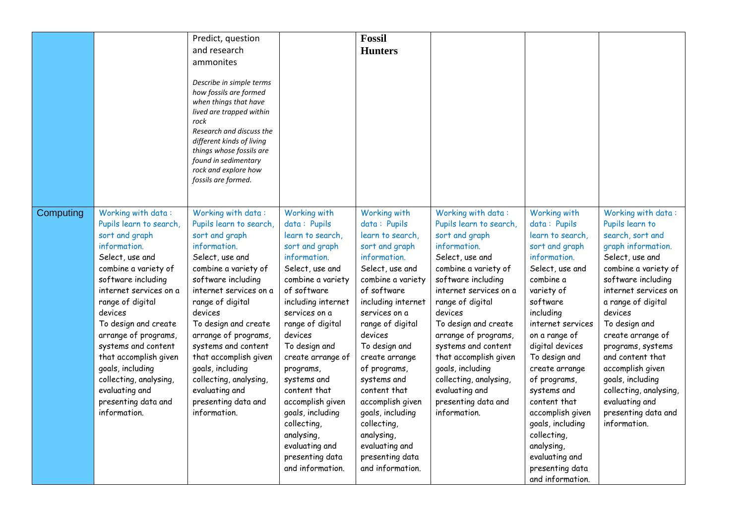|           |                                               | Predict, question<br>and research                     |                                     | <b>Fossil</b><br><b>Hunters</b>   |                                               |                                  |                                          |
|-----------|-----------------------------------------------|-------------------------------------------------------|-------------------------------------|-----------------------------------|-----------------------------------------------|----------------------------------|------------------------------------------|
|           |                                               | ammonites                                             |                                     |                                   |                                               |                                  |                                          |
|           |                                               | Describe in simple terms<br>how fossils are formed    |                                     |                                   |                                               |                                  |                                          |
|           |                                               | when things that have                                 |                                     |                                   |                                               |                                  |                                          |
|           |                                               | lived are trapped within<br>rock                      |                                     |                                   |                                               |                                  |                                          |
|           |                                               | Research and discuss the<br>different kinds of living |                                     |                                   |                                               |                                  |                                          |
|           |                                               | things whose fossils are                              |                                     |                                   |                                               |                                  |                                          |
|           |                                               | found in sedimentary<br>rock and explore how          |                                     |                                   |                                               |                                  |                                          |
|           |                                               | fossils are formed.                                   |                                     |                                   |                                               |                                  |                                          |
|           |                                               |                                                       |                                     |                                   |                                               |                                  |                                          |
| Computing | Working with data:<br>Pupils learn to search, | Working with data:<br>Pupils learn to search,         | Working with<br>data: Pupils        | Working with<br>data: Pupils      | Working with data:<br>Pupils learn to search, | Working with<br>data: Pupils     | Working with data:<br>Pupils learn to    |
|           | sort and graph                                | sort and graph                                        | learn to search,                    | learn to search,                  | sort and graph                                | learn to search,                 | search, sort and                         |
|           | information.<br>Select, use and               | information.<br>Select, use and                       | sort and graph<br>information.      | sort and graph<br>information.    | information.<br>Select, use and               | sort and graph<br>information.   | graph information.<br>Select, use and    |
|           | combine a variety of                          | combine a variety of                                  | Select, use and                     | Select, use and                   | combine a variety of                          | Select, use and                  | combine a variety of                     |
|           | software including                            | software including                                    | combine a variety                   | combine a variety                 | software including                            | combine a                        | software including                       |
|           | internet services on a                        | internet services on a                                | of software                         | of software<br>including internet | internet services on a                        | variety of<br>software           | internet services on                     |
|           | range of digital<br>devices                   | range of digital<br>devices                           | including internet<br>services on a | services on a                     | range of digital<br>devices                   | including                        | a range of digital<br>devices            |
|           | To design and create                          | To design and create                                  | range of digital                    | range of digital                  | To design and create                          | internet services                | To design and                            |
|           | arrange of programs,                          | arrange of programs,                                  | devices                             | devices                           | arrange of programs,                          | on a range of                    | create arrange of                        |
|           | systems and content<br>that accomplish given  | systems and content<br>that accomplish given          | To design and<br>create arrange of  | To design and<br>create arrange   | systems and content<br>that accomplish given  | digital devices<br>To design and | programs, systems<br>and content that    |
|           | goals, including                              | goals, including                                      | programs,                           | of programs,                      | goals, including                              | create arrange                   | accomplish given                         |
|           | collecting, analysing,                        | collecting, analysing,                                | systems and                         | systems and                       | collecting, analysing,                        | of programs,                     | goals, including                         |
|           | evaluating and<br>presenting data and         | evaluating and<br>presenting data and                 | content that<br>accomplish given    | content that<br>accomplish given  | evaluating and<br>presenting data and         | systems and<br>content that      | collecting, analysing,<br>evaluating and |
|           | information.                                  | information.                                          | goals, including                    | goals, including                  | information.                                  | accomplish given                 | presenting data and                      |
|           |                                               |                                                       | collecting,                         | collecting,                       |                                               | goals, including                 | information.                             |
|           |                                               |                                                       | analysing,<br>evaluating and        | analysing,<br>evaluating and      |                                               | collecting,<br>analysing,        |                                          |
|           |                                               |                                                       | presenting data                     | presenting data                   |                                               | evaluating and                   |                                          |
|           |                                               |                                                       | and information.                    | and information.                  |                                               | presenting data                  |                                          |
|           |                                               |                                                       |                                     |                                   |                                               | and information.                 |                                          |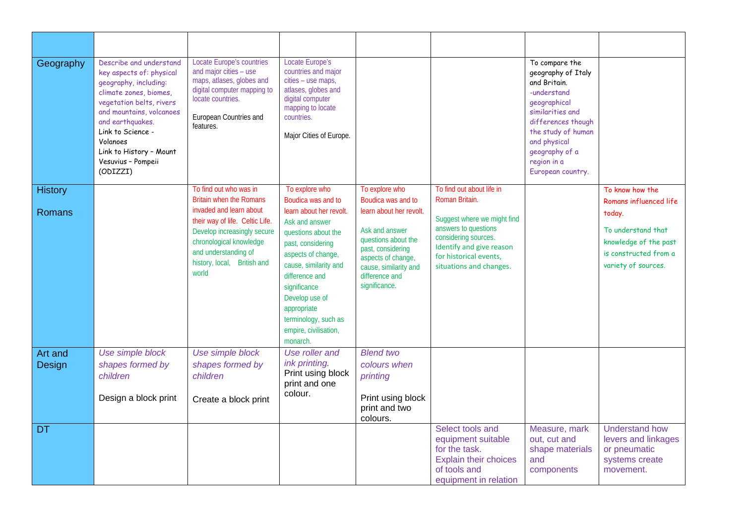| Geography         | Describe and understand<br>key aspects of: physical<br>geography, including:<br>climate zones, biomes,<br>vegetation belts, rivers<br>and mountains, volcanoes<br>and earthquakes.<br>Link to Science -<br>Volanoes<br>Link to History - Mount<br>Vesuvius - Pompeii<br>(ODIZZI) | <b>Locate Europe's countries</b><br>and major cities - use<br>maps, atlases, globes and<br>digital computer mapping to<br>locate countries.<br>European Countries and<br>features.   | <b>Locate Europe's</b><br>countries and major<br>cities - use maps,<br>atlases, globes and<br>digital computer<br>mapping to locate<br>countries.<br>Major Cities of Europe.                                                                                         |                                                                                                                                                                         |                                                                                                                                                              | To compare the<br>geography of Italy<br>and Britain.<br>-understand<br>geographical<br>similarities and<br>differences though<br>the study of human<br>and physical<br>geography of a<br>region in a<br>European country. |                                                                                                       |
|-------------------|----------------------------------------------------------------------------------------------------------------------------------------------------------------------------------------------------------------------------------------------------------------------------------|--------------------------------------------------------------------------------------------------------------------------------------------------------------------------------------|----------------------------------------------------------------------------------------------------------------------------------------------------------------------------------------------------------------------------------------------------------------------|-------------------------------------------------------------------------------------------------------------------------------------------------------------------------|--------------------------------------------------------------------------------------------------------------------------------------------------------------|---------------------------------------------------------------------------------------------------------------------------------------------------------------------------------------------------------------------------|-------------------------------------------------------------------------------------------------------|
| <b>History</b>    |                                                                                                                                                                                                                                                                                  | To find out who was in<br><b>Britain when the Romans</b>                                                                                                                             | To explore who<br>Boudica was and to                                                                                                                                                                                                                                 | To explore who<br>Boudica was and to                                                                                                                                    | To find out about life in<br>Roman Britain.                                                                                                                  |                                                                                                                                                                                                                           | To know how the<br>Romans influenced life                                                             |
| Romans            |                                                                                                                                                                                                                                                                                  | invaded and learn about<br>their way of life. Celtic Life.<br>Develop increasingly secure<br>chronological knowledge<br>and understanding of<br>history, local, British and<br>world | learn about her revolt.<br>Ask and answer<br>questions about the<br>past, considering<br>aspects of change,<br>cause, similarity and<br>difference and<br>significance<br>Develop use of<br>appropriate<br>terminology, such as<br>empire, civilisation,<br>monarch. | learn about her revolt.<br>Ask and answer<br>questions about the<br>past, considering<br>aspects of change,<br>cause, similarity and<br>difference and<br>significance. | Suggest where we might find<br>answers to questions<br>considering sources.<br>Identify and give reason<br>for historical events,<br>situations and changes. |                                                                                                                                                                                                                           | today.<br>To understand that<br>knowledge of the past<br>is constructed from a<br>variety of sources. |
| Art and<br>Design | Use simple block<br>shapes formed by<br>children                                                                                                                                                                                                                                 | Use simple block<br>shapes formed by<br>children                                                                                                                                     | Use roller and<br>ink printing.<br>Print using block<br>print and one                                                                                                                                                                                                | <b>Blend two</b><br>colours when<br>printing                                                                                                                            |                                                                                                                                                              |                                                                                                                                                                                                                           |                                                                                                       |
|                   | Design a block print                                                                                                                                                                                                                                                             | Create a block print                                                                                                                                                                 | colour.                                                                                                                                                                                                                                                              | Print using block<br>print and two<br>colours.                                                                                                                          |                                                                                                                                                              |                                                                                                                                                                                                                           |                                                                                                       |
| <b>DT</b>         |                                                                                                                                                                                                                                                                                  |                                                                                                                                                                                      |                                                                                                                                                                                                                                                                      |                                                                                                                                                                         | Select tools and<br>equipment suitable<br>for the task.<br><b>Explain their choices</b><br>of tools and<br>equipment in relation                             | Measure, mark<br>out, cut and<br>shape materials<br>and<br>components                                                                                                                                                     | <b>Understand how</b><br>levers and linkages<br>or pneumatic<br>systems create<br>movement.           |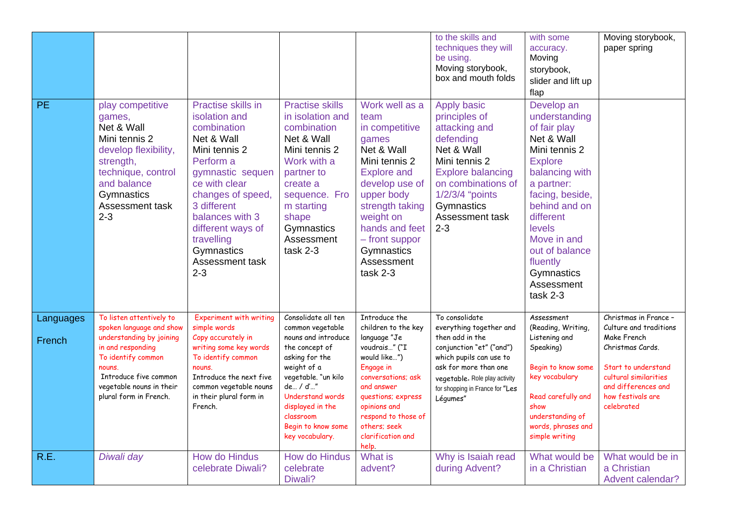|                     |                                                                                                                                                                                                                      |                                                                                                                                                                                                                                                                           |                                                                                                                                                                                                                                                           |                                                                                                                                                                                                                                                    | to the skills and<br>techniques they will<br>be using.<br>Moving storybook,<br>box and mouth folds                                                                                                                           | with some<br>accuracy.<br>Moving<br>storybook,<br>slider and lift up<br>flap                                                                                                                                                                                                 | Moving storybook,<br>paper spring                                                                                                                                                            |
|---------------------|----------------------------------------------------------------------------------------------------------------------------------------------------------------------------------------------------------------------|---------------------------------------------------------------------------------------------------------------------------------------------------------------------------------------------------------------------------------------------------------------------------|-----------------------------------------------------------------------------------------------------------------------------------------------------------------------------------------------------------------------------------------------------------|----------------------------------------------------------------------------------------------------------------------------------------------------------------------------------------------------------------------------------------------------|------------------------------------------------------------------------------------------------------------------------------------------------------------------------------------------------------------------------------|------------------------------------------------------------------------------------------------------------------------------------------------------------------------------------------------------------------------------------------------------------------------------|----------------------------------------------------------------------------------------------------------------------------------------------------------------------------------------------|
| <b>PE</b>           | play competitive<br>games,<br>Net & Wall<br>Mini tennis 2<br>develop flexibility,<br>strength,<br>technique, control<br>and balance<br>Gymnastics<br>Assessment task<br>$2 - 3$                                      | Practise skills in<br>isolation and<br>combination<br>Net & Wall<br>Mini tennis 2<br>Perform a<br>gymnastic sequen<br>ce with clear<br>changes of speed,<br>3 different<br>balances with 3<br>different ways of<br>travelling<br>Gymnastics<br>Assessment task<br>$2 - 3$ | <b>Practise skills</b><br>in isolation and<br>combination<br>Net & Wall<br>Mini tennis 2<br>Work with a<br>partner to<br>create a<br>sequence. Fro<br>m starting<br>shape<br>Gymnastics<br>Assessment<br>task 2-3                                         | Work well as a<br>team<br>in competitive<br>games<br>Net & Wall<br>Mini tennis 2<br><b>Explore and</b><br>develop use of<br>upper body<br>strength taking<br>weight on<br>hands and feet<br>- front suppor<br>Gymnastics<br>Assessment<br>task 2-3 | <b>Apply basic</b><br>principles of<br>attacking and<br>defending<br>Net & Wall<br>Mini tennis 2<br><b>Explore balancing</b><br>on combinations of<br>1/2/3/4 "points<br>Gymnastics<br>Assessment task<br>$2 - 3$            | Develop an<br>understanding<br>of fair play<br>Net & Wall<br>Mini tennis 2<br><b>Explore</b><br>balancing with<br>a partner:<br>facing, beside,<br>behind and on<br>different<br>levels<br>Move in and<br>out of balance<br>fluently<br>Gymnastics<br>Assessment<br>task 2-3 |                                                                                                                                                                                              |
| Languages<br>French | To listen attentively to<br>spoken language and show<br>understanding by joining<br>in and responding<br>To identify common<br>nouns.<br>Introduce five common<br>vegetable nouns in their<br>plural form in French. | <b>Experiment with writing</b><br>simple words<br>Copy accurately in<br>writing some key words<br>To identify common<br>nouns.<br>Introduce the next five<br>common vegetable nouns<br>in their plural form in<br>French.                                                 | Consolidate all ten<br>common vegetable<br>nouns and introduce<br>the concept of<br>asking for the<br>weight of a<br>vegetable. "un kilo<br>de / d'"<br><b>Understand words</b><br>displayed in the<br>classroom<br>Begin to know some<br>key vocabulary. | Introduce the<br>children to the key<br>language "Je<br>voudrais" ("I<br>would like")<br>Engage in<br>conversations; ask<br>and answer<br>questions; express<br>opinions and<br>respond to those of<br>others; seek<br>clarification and<br>help.  | To consolidate<br>everything together and<br>then add in the<br>conjunction "et" ("and")<br>which pupils can use to<br>ask for more than one<br>vegetable. Role play activity<br>for shopping in France for "Les<br>Légumes" | Assessment<br>(Reading, Writing,<br>Listening and<br>Speaking)<br>Begin to know some<br>key vocabulary<br>Read carefully and<br>show<br>understanding of<br>words, phrases and<br>simple writing                                                                             | Christmas in France -<br>Culture and traditions<br>Make French<br>Christmas Cards.<br>Start to understand<br>cultural similarities<br>and differences and<br>how festivals are<br>celebrated |
| R.E.                | Diwali day                                                                                                                                                                                                           | <b>How do Hindus</b><br>celebrate Diwali?                                                                                                                                                                                                                                 | <b>How do Hindus</b><br>celebrate<br>Diwali?                                                                                                                                                                                                              | What is<br>advent?                                                                                                                                                                                                                                 | Why is Isaiah read<br>during Advent?                                                                                                                                                                                         | What would be<br>in a Christian                                                                                                                                                                                                                                              | What would be in<br>a Christian<br>Advent calendar?                                                                                                                                          |